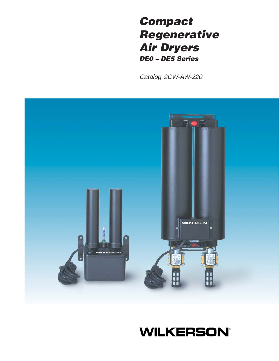# **Compact Regenerative Air Dryers DE0 – DE5 Series**

Catalog 9CW-AW-220



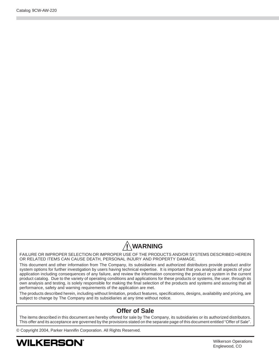# **! WARNING**

FAILURE OR IMPROPER SELECTION OR IMPROPER USE OF THE PRODUCTS AND/OR SYSTEMS DESCRIBED HEREIN OR RELATED ITEMS CAN CAUSE DEATH, PERSONAL INJURY AND PROPERTY DAMAGE.

This document and other information from The Company, its subsidiaries and authorized distributors provide product and/or system options for further investigation by users having technical expertise. It is important that you analyze all aspects of your application including consequences of any failure, and review the information concerning the product or system in the current product catalog. Due to the variety of operating conditions and applications for these products or systems, the user, through its own analysis and testing, is solely responsible for making the final selection of the products and systems and assuring that all performance, safety and warning requirements of the application are met.

The products described herein, including without limitation, product features, specifications, designs, availability and pricing, are subject to change by The Company and its subsidiaries at any time without notice.

#### **Offer of Sale**

The items described in this document are hereby offered for sale by The Company, its subsidiaries or its authorized distributors. This offer and its acceptance are governed by the provisions stated on the separate page of this document entitled "Offer of Sale".

© Copyright 2004, Parker Hannifin Corporation. All Rights Reserved.

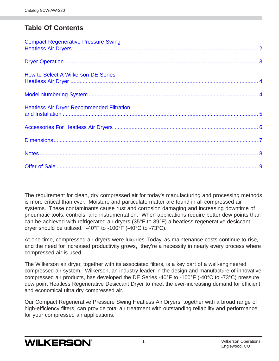## **Table Of Contents**

| <b>Compact Regenerative Pressure Swing</b>       |  |
|--------------------------------------------------|--|
|                                                  |  |
| <b>How to Select A Wilkerson DE Series</b>       |  |
|                                                  |  |
| <b>Heatless Air Dryer Recommended Filtration</b> |  |
|                                                  |  |
|                                                  |  |
|                                                  |  |
|                                                  |  |

The requirement for clean, dry compressed air for today's manufacturing and processing methods is more critical than ever. Moisture and particulate matter are found in all compressed air systems. These contaminants cause rust and corrosion damaging and increasing downtime of pneumatic tools, controls, and instrumentation. When applications require better dew points than can be achieved with refrigerated air dryers (35°F to 39°F) a heatless regenerative desiccant dryer should be utilized. -40°F to -100°F (-40°C to -73°C).

At one time, compressed air dryers were luxuries. Today, as maintenance costs continue to rise, and the need for increased productivity grows, they're a necessity in nearly every process where compressed air is used.

The Wilkerson air dryer, together with its associated filters, is a key part of a well-engineered compressed air system. Wilkerson, an industry leader in the design and manufacture of innovative compressed air products, has developed the DE Series -40°F to -100°F (-40°C to -73°C) pressure dew point Heatless Regenerative Desiccant Dryer to meet the ever-increasing demand for efficient and economical ultra dry compressed air.

Our Compact Regenerative Pressure Swing Heatless Air Dryers, together with a broad range of high-efficiency filters, can provide total air treatment with outstanding reliability and performance for your compressed air applications.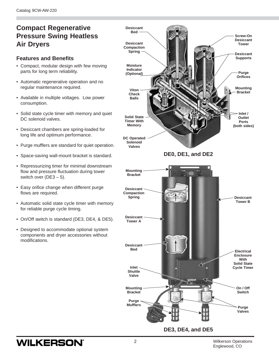## <span id="page-3-0"></span>**Compact Regenerative Pressure Swing Heatless Air Dryers**

#### **Features and Benefits**

- Compact, modular design with few moving parts for long term reliability.
- Automatic regenerative operation and no regular maintenance required.
- Available in multiple voltages. Low power consumption.
- Solid state cycle timer with memory and quiet DC solenoid valves.
- Desiccant chambers are spring-loaded for long life and optimum performance.
- Purge mufflers are standard for quiet operation.
- Space-saving wall-mount bracket is standard.
- Repressurizing timer for minimal downstream flow and pressure fluctuation during tower switch over  $(DE3 - 5)$ .
- Easy orifice change when different purge flows are required.
- Automatic solid state cycle timer with memory for reliable purge cycle timing.
- On/Off switch is standard (DE3, DE4, & DE5).
- Designed to accommodate optional system components and dryer accessories without modifications.

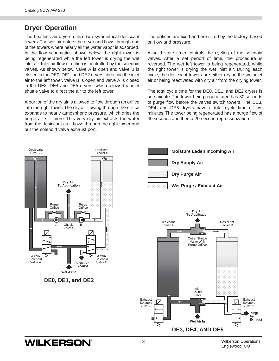## <span id="page-4-0"></span>**Dryer Operation**

The heatless air dryers utilize two symmetrical desiccant towers. The wet air enters the dryer and flows through one of the towers where nearly all the water vapor is adsorbed. In the flow schematics shown below, the right tower is being regenerated while the left tower is drying the wet inlet air. Inlet air flow direction is controlled by the solenoid valves. As shown below, valve A is open and valve B is closed in the DE0, DE1, and DE2 dryers, directing the inlet air to the left tower. Valve B is open and valve A is closed in the DE3, DE4 and DE5 dryers, which allows the inlet shuttle valve to direct the air to the left tower.

A portion of the dry air is allowed to flow through an orifice into the right tower. The dry air flowing through the orifice expands to nearly atmospheric pressure, which dries the purge air still more. This very dry air extracts the water from the desiccant as it flows through the right tower and out the solenoid valve exhaust port.

The orifices are fixed and are sized by the factory, based on flow and pressure.

A solid state timer controls the cycling of the solenoid valves. After a set period of time, the procedure is reversed. The wet left tower is being regenerated, while the right tower is drying the wet inlet air. During each cycle, the desiccant towers are either drying the wet inlet air or being reactivated with dry air from the drying tower.

The total cycle time for the DE0, DE1, and DE2 dryers is one minute. The tower being regenerated has 30 seconds of purge flow before the valves switch towers. The DE3, DE4, and DE5 dryers have a total cycle time of two minutes. The tower being regenerated has a purge flow of 40 seconds and then a 20-second repressurization.

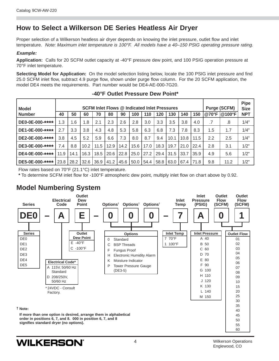## <span id="page-5-0"></span>**How to Select a Wilkerson DE Series Heatless Air Dryer**

Proper selection of a Wilkerson heatless air dryer depends on knowing the inlet pressure, outlet flow and inlet temperature. Note: Maximum inlet temperature is 100°F. All models have a 40-150 PSIG operating pressure rating.

#### **Example:**

**Application:** Calls for 20 SCFM outlet capacity at -40°F pressure dew point, and 100 PSIG operation pressure at 70°F inlet temperature.

**Selecting Model for Application:** On the model selection listing below, locate the 100 PSIG inlet pressure and find 25.0 SCFM inlet flow, subtract 4.9 purge flow, shown under purge flow column. For the 20 SCFM application, the model DE4 meets the requirements. Part number would be DE4-AE-000-7G20.

| <b>Model</b><br><b>Number</b> | <b>SCFM Inlet Flows @ Indicated Inlet Pressures</b><br>150<br>40<br>130<br>140<br>50<br>80<br>100<br>110<br>120<br>60<br>70<br>90 |      |      |      |      |      |      | <b>Purge (SCFM)</b><br>@70°F  @100°F |      | <b>Pipe</b><br><b>Size</b><br><b>NPT</b> |             |      |         |      |      |
|-------------------------------|-----------------------------------------------------------------------------------------------------------------------------------|------|------|------|------|------|------|--------------------------------------|------|------------------------------------------|-------------|------|---------|------|------|
|                               |                                                                                                                                   |      |      |      |      |      |      |                                      |      |                                          |             |      |         |      |      |
| DE0-0E-000-****               | 1.3                                                                                                                               | 1.6  | 1.8  | 2.1  | 2.3  | 2.6  | 2.8  | 3.0                                  | 3.3  | 3.5                                      | 3.8         | 4.0  | .7      | .8   | 1/4" |
| DE1-0E-000-****               | 2.7                                                                                                                               | 3.3  | 3.8  | 4.3  | 4.8  | 5.3  | 5.8  | 6.3                                  | 6.8  | 7.3                                      | 7.8         | 8.3  | 1.5     | 1.7  | 1/4" |
| DE2-0E-000-****               | 3.8                                                                                                                               | 4.5  | 5.2  | 5.9  | 6.6  | 7.3  | 8.0  | 8.7                                  | 9.4  | 10.1                                     | 10.8        | 11.5 | $2.2\,$ | 2.5  | 1/4" |
| DE3-0E-000-****               | 7.4                                                                                                                               | 8.8  | 10.2 | 11.5 | 12.9 | 14.2 | 15.6 | 17.0                                 | 18.3 | 19.7                                     | 21.0        | 22.4 | 2.8     | 3.1  | 1/2" |
| DE4-0E-000-****               | 11.9                                                                                                                              | 14.1 | 16.3 | 18.5 | 20.6 | 22.8 | 25.0 | 27.2                                 | 29.4 | 31.5                                     | 33.7        | 35.9 | 4.9     | 5.6  | 1/2" |
| DE5-0E-000-****               | 23.8                                                                                                                              | 28.2 | 32.6 | 36.9 | 41.2 | 45.6 | 50.0 | 54.4                                 | 58.8 | $63.0$ $\overline{\phantom{0}}$          | $67.4$ 71.8 |      | 9.8     | 11.2 | 1/2" |

#### **-40°F Outlet Pressure Dew Point\***

Flow rates based on 70°F (21.1°C) inlet temperature.

**\*** To determine SCFM inlet flow for -100°F atmospheric dew point, multiply inlet flow on chart above by 0.92.

## **Model Numbering System**

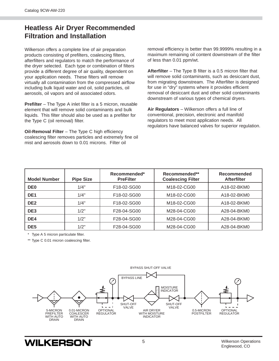## <span id="page-6-0"></span>**Heatless Air Dryer Recommended Filtration and Installation**

Wilkerson offers a complete line of air preparation products consisting of prefilters, coalescing filters, afterfilters and regulators to match the performance of the dryer selected. Each type or combination of filters provide a different degree of air quality, dependent on your application needs. These filters will remove virtually all contamination from the compressed airflow including bulk liquid water and oil, solid particles, oil aerosols, oil vapors and oil associated odors.

**Prefilter** – The Type A inlet filter is a 5 micron, reusable element that will remove solid contaminants and bulk liquids. This filter should also be used as a prefilter for the Type C (oil removal) filter.

**Oil-Removal Filter** – The Type C high efficiency coalescing filter removes particles and extremely fine oil mist and aerosols down to 0.01 microns. Filter oil

removal efficiency is better than 99.9999% resulting in a maximum remaining oil content downstream of the filter of less than 0.01 ppm/wt.

**Afterfilter** – The Type B filter is a 0.5 micron filter that will remove solid contaminants, such as desiccant dust, from migrating downstream. The Afterfilter is designed for use in "dry" systems where it provides efficient removal of desiccant dust and other solid contaminants downstream of various types of chemical dryers.

**Air Regulators** – Wilkerson offers a full line of conventional, precision, electronic and manifold regulators to meet most application needs. All regulators have balanced valves for superior regulation.

| <b>Model Number</b> | <b>Pipe Size</b> | Recommended*<br><b>PreFilter</b> | Recommended**<br><b>Coalescing Filter</b> | Recommended<br><b>Afterfilter</b> |
|---------------------|------------------|----------------------------------|-------------------------------------------|-----------------------------------|
| DE <sub>0</sub>     | 1/4"             | F18-02-SG00                      | M18-02-CG00                               | A18-02-BKM0                       |
| DE <sub>1</sub>     | 1/4"             | F <sub>18</sub> -02-SG00         | M <sub>18</sub> -02-CG00                  | A18-02-BKM0                       |
| DE <sub>2</sub>     | 1/4"             | F18-02-SG00                      | M18-02-CG00                               | A18-02-BKM0                       |
| DE <sub>3</sub>     | 1/2"             | F28-04-SG00                      | M28-04-CG00                               | A28-04-BKM0                       |
| DE4                 | 1/2"             | F28-04-SG00                      | M28-04-CG00                               | A28-04-BKM0                       |
| DE <sub>5</sub>     | 1/2"             | F28-04-SG00                      | M28-04-CG00                               | A28-04-BKM0                       |

\* Type A 5 micron particulate filter.

\*\* Type C 0.01 micron coalescing filter.

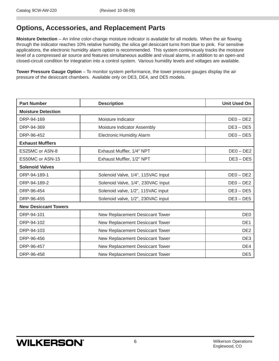## <span id="page-7-0"></span>**Options, Accessories, and Replacement Parts**

**Moisture Detection** – An inline color-change moisture indicator is available for all models. When the air flowing through the indicator reaches 10% relative humidity, the silica gel desiccant turns from blue to pink. For sensitive applications, the electronic humidity alarm option is recommended. This system continuously tracks the moisture level of a compressed air source and features simultaneous audible and visual alarms, in addition to an open-and closed-circuit condition for integration into a control system. Various humidity levels and voltages are available.

**Tower Pressure Gauge Option** – To monitor system performance, the tower pressure gauges display the air pressure of the desiccant chambers. Available only on DE3, DE4, and DE5 models.

| <b>Part Number</b>          | <b>Description</b>                 | <b>Unit Used On</b> |  |  |  |  |
|-----------------------------|------------------------------------|---------------------|--|--|--|--|
| <b>Moisture Detection</b>   |                                    |                     |  |  |  |  |
| DRP-94-169                  | Moisture Indicator                 | $DE0 - DE2$         |  |  |  |  |
| DRP-94-369                  | Moisture Indicator Assembly        | $DE3 - DE5$         |  |  |  |  |
| DRP-96-452                  | <b>Electronic Humidity Alarm</b>   | $DE0 - DE5$         |  |  |  |  |
| <b>Exhaust Mufflers</b>     |                                    |                     |  |  |  |  |
| ES25MC or ASN-8             | Exhaust Muffler, 1/4" NPT          | $DE0 - DE2$         |  |  |  |  |
| ES50MC or ASN-15            | Exhaust Muffler, 1/2" NPT          | $DE3 - DE5$         |  |  |  |  |
| <b>Solenoid Valves</b>      |                                    |                     |  |  |  |  |
| DRP-94-189-1                | Solenoid Valve, 1/4", 115VAC Input | $DE0 - DE2$         |  |  |  |  |
| DRP-94-189-2                | Solenoid Valve, 1/4", 230VAC Input | $DE0 - DE2$         |  |  |  |  |
| DRP-96-454                  | Solenoid valve, 1/2", 115VAC input | $DE3 - DE5$         |  |  |  |  |
| DRP-96-455                  | Solenoid valve, 1/2", 230VAC input | $DE3 - DE5$         |  |  |  |  |
| <b>New Desiccant Towers</b> |                                    |                     |  |  |  |  |
| DRP-94-101                  | New Replacement Desiccant Tower    | DE <sub>0</sub>     |  |  |  |  |
| DRP-94-102                  | New Replacement Desiccant Tower    | DE <sub>1</sub>     |  |  |  |  |
| DRP-94-103                  | New Replacement Desiccant Tower    | DE <sub>2</sub>     |  |  |  |  |
| DRP-96-456                  | New Replacement Desiccant Tower    | DE3                 |  |  |  |  |
| DRP-96-457                  | New Replacement Desiccant Tower    | DE4                 |  |  |  |  |
| DRP-96-458                  | New Replacement Desiccant Tower    | DE <sub>5</sub>     |  |  |  |  |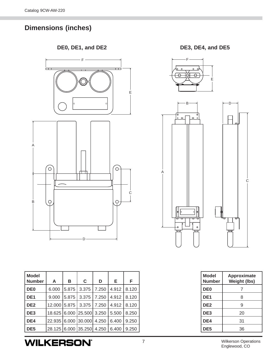## <span id="page-8-0"></span>**Dimensions (inches)**

**DE0, DE1, and DE2 DE3, DE4, and DE5**



| Model<br>Number | A            | В     | C                         | D     | Е     | F     |
|-----------------|--------------|-------|---------------------------|-------|-------|-------|
| DE <sub>0</sub> | 6.000        | 5.875 | 3.375                     | 7.250 | 4.912 | 8.120 |
| l DE1           | 9.000        | 5.875 | 3.375                     | 7.250 | 4.912 | 8.120 |
| DE2             | 12.000 5.875 |       | 3.375                     | 7.250 | 4.912 | 8.120 |
| DE3             |              |       | 18.625 6.000 25.500 3.250 |       | 5.500 | 8.250 |
| DE4             | 22.935       |       | 6.000 30.000              | 4.250 | 6.400 | 9.250 |
| DE5             |              |       | 28.125 6.000 35.250 4.250 |       | 6.400 | 9.250 |





| Model<br><b>Number</b> | <b>Approximate</b><br><b>Weight (lbs)</b> |
|------------------------|-------------------------------------------|
| DE <sub>0</sub>        | 7                                         |
| DE <sub>1</sub>        | 8                                         |
| DE <sub>2</sub>        | 9                                         |
| DE3                    | 20                                        |
| DE4                    | 31                                        |
| DE5                    | 36                                        |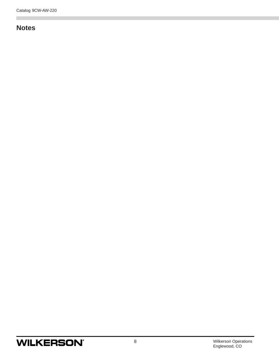## <span id="page-9-0"></span>**Notes**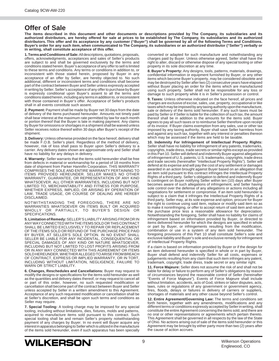### <span id="page-10-0"></span>**Offer of Sale**

**The items described in this document and other documents or descriptions provided by The Company, its subsidiaries and its authorized distributors, are hereby offered for sale at prices to be established by The Company, its subsidiaries and its authorized distributors. This offer and its acceptance by any customer ("Buyer") shall be governed by all of the following Terms and Conditions. Buyer's order for any such item, when communicated to The Company, its subsidiaries or an authorized distributor ("Seller") verbally or in writing, shall constitute acceptance of this offer.**

**1. Terms and Conditions of Sale:** All descriptions, quotations, proposals, offers, acknowledgments, acceptances and sales of Seller's products are subject to and shall be governed exclusively by the terms and conditions stated herein. Buyer's acceptance of any offer to sell is limited to these terms and conditions. Any terms or conditions in addition to, or inconsistent with those stated herein, proposed by Buyer in any acceptance of an offer by Seller, are hereby objected to. No such additional, different or inconsistent terms and conditions shall become part of the contract between Buyer and Seller unless expressly accepted in writing by Seller. Seller's acceptance of any offer to purchase by Buyer is expressly conditional upon Buyer's assent to all the terms and conditions stated herein, including any terms in addition to, or inconsistent with those contained in Buyer's offer. Acceptance of Seller's products shall in all events constitute such assent.

**2. Payment:** Payment shall be made by Buyer net 30 days from the date of delivery of the items purchased hereunder. Amounts not timely paid shall bear interest at the maximum rate permitted by law for each month or portion thereof that the Buyer is late in making payment. Any claims by Buyer for omissions or shortages in a shipment shall be waived unless Seller receives notice thereof within 30 days after Buyer's receipt of the shipment.

**3. Delivery:** Unless otherwise provided on the face hereof, delivery shall be made F.O.B. Seller's plant. Regardless of the method of delivery, however, risk of loss shall pass to Buyer upon Seller's delivery to a carrier. Any delivery dates shown are approximate only and Seller shall have no liability for any delays in delivery.

**4. Warranty:** Seller warrants that the items sold hereunder shall be free from defects in material or workmanship for a period of 18 months from date of shipment from Parker Hannifin Corporation. THIS WARRANTY COMPRISES THE SOLE AND ENTIRE WARRANTY PERTAINING TO ITEMS PROVIDED HEREUNDER. SELLER MAKES NO OTHER WARRANTY, GUARANTEE, OR REPRESENTATION OF ANY KIND WHATSOEVER. ALL OTHER WARRANTIES, INCLUDING BUT NOT LIMITED TO, MERCHANTABILITY AND FITNESS FOR PURPOSE, WHETHER EXPRESS, IMPLIED, OR ARISING BY OPERATION OF LAW, TRADE USAGE, OR COURSE OF DEALING ARE HEREBY DISCLAIMED.

NOTWITHSTANDING THE FOREGOING, THERE ARE NO WARRANTIES WHATSOEVER ON ITEMS BUILT OR ACQUIRED WHOLLY OR PARTIALLY, TO BUYER'S DESIGN OR SPECIFICATIONS.

**5. Limitation of Remedy:** SELLER'S LIABILITY ARISING FROM OR IN ANY WAY CONNECTED WITH THE ITEMS SOLD OR THIS CONTRACT SHALL BE LIMITED EXCLUSIVELY TO REPAIR OR REPLACEMENT OF THE ITEMS SOLD OR REFUND OF THE PURCHASE PRICE PAID BY BUYER, AT SELLER'S SOLE OPTION. IN NO EVENT SHALL SELLER BE LIABLE FOR ANY INCIDENTAL, CONSEQUENTIAL OR SPECIAL DAMAGES OF ANY KIND OR NATURE WHATSOEVER, INCLUDING BUT NOT LIMITED TO LOST PROFITS ARISING FROM OR IN ANY WAY CONNECTED WITH THIS AGREEMENT OR ITEMS SOLD HEREUNDER, WHETHER ALLEGED TO ARISE FROM BREACH OF CONTRACT, EXPRESS OR IMPLIED WARRANTY, OR IN TORT, INCLUDING WITHOUT LIMITATION, NEGLIGENCE, FAILURE TO WARN OR STRICT LIABILITY.

**6. Changes, Reschedules and Cancellations:** Buyer may request to modify the designs or specifications for the items sold hereunder as well as the quantities and delivery dates thereof, or may request to cancel all or part of this order, however, no such requested modification or cancellation shall become part of the contract between Buyer and Seller unless accepted by Seller in a written amendment to this Agreement. Acceptance of any such requested modification or cancellation shall be at Seller's discretion, and shall be upon such terms and conditions as Seller may require.

**7. Special Tooling:** A tooling charge may be imposed for any special tooling, including without limitations, dies, fixtures, molds and patterns, acquired to manufacture items sold pursuant to this contract. Such special tooling shall be and remain Seller's property notwithstanding payment of any charges by Buyer. In no event will Buyer acquire any interest in apparatus belonging to Seller which is utilized in the manufacture of the items sold hereunder, even if such apparatus has been specially

converted or adapted for such manufacture and notwithstanding any charges paid by Buyer. Unless otherwise agreed, Seller shall have the right to alter, discard or otherwise dispose of any special tooling or other property in its sole discretion at any time.

**8. Buyer's Property:** Any designs, tools, patterns, materials, drawings, confidential information or equipment furnished by Buyer, or any other items which become Buyer's property, may be considered obsolete and may be destroyed by Seller after two (2) consecutive years have elapsed without Buyer placing an order for the items which are manufactured using such property. Seller shall not be responsible for any loss or damage to such property while it is in Seller's possession or control.

**9. Taxes:** Unless otherwise indicated on the face hereof, all prices and charges are exclusive of excise, sales, use, property, occupational or like taxes which may be imposed by any taxing authority upon the manufacture, sale or delivery of the items sold hereunder. If any such taxes must be paid by Seller or if Seller is liable for the collection of such tax, the amount thereof shall be in addition to the amounts for the items sold. Buyer agrees to pay all such taxes or to reimburse Seller therefore upon receipt of its invoice. If Buyer claims exemption from any sales, use or other tax imposed by any taxing authority, Buyer shall save Seller harmless from and against any such tax, together with any interest or penalties thereon which may be assessed if the items are held to be taxable.

**10. Indemnity For Infringement of Intellectual Property Rights:** Seller shall have no liability for infringement of any patents, trademarks, copyrights, trade dress, trade secrets or similar rights except as provided in this Part 10. Seller will defend and indemnify Buyer against allegations of infringement of U.S. patents, U.S. trademarks, copyrights, trade dress and trade secrets (hereinafter "Intellectual Property Rights"). Seller will defend at its expense and will pay the cost of any settlement or damages awarded in an action brought against Buyer based on an allegation that an item sold pursuant to this contract infringes the Intellectual Property Rights of a third party. Seller's obligation to defend and indemnify Buyer is contingent on Buyer notifying Seller within ten (10) days after Buyer becomes aware of such allegations of infringement, and Seller having sole control over the defense of any allegations or actions including all negotiations for settlement or compromise. If an item sold hereunder is subject to a claim that it infringes the Intellectual Property Rights of a third party, Seller may, at its sole expense and option, procure for Buyer the right to continue using said item, replace or modify said item so as to make it noninfringing, or offer to accept return of said item and return the purchase price less a reasonable allowance for depreciation. Notwithstanding the foregoing, Seller shall have no liability for claims of infringement based on information provided by Buyer, or directed to items delivered hereunder for which the designs are specified in whole or part by Buyer, or infringements resulting from the modification, combination or use in a system of any item sold hereunder. The foregoing provisions of this Part 10 shall constitute Seller's sole and exclusive liability and Buyer's sole and exclusive remedy for infringement of Intellectual Property Rights.

If a claim is based on information provided by Buyer or if the design for an item delivered hereunder is specified in whole or in part by Buyer, Buyer shall defend and indemnify Seller for all costs, expenses or judgements resulting from any claim that such item infringes any patent, trademark, copyright, trade dress, trade secret or any similar right.

**11. Force Majeure:** Seller does not assume the risk of and shall not be liable for delay or failure to perform any of Seller's obligations by reason of circumstances beyond the reasonable control of Seller (hereinafter "Events of Force Majeure"). Events of Force Majeure shall include without limitation, accidents, acts of God, strikes or labor disputes, acts, laws, rules or regulations of any government or government agency, fires, floods, delays or failures in delivery of carriers or suppliers, shortages of materials and any other cause beyond Seller's control.

**12. Entire Agreement/Governing Law:** The terms and conditions set forth herein, together with any amendments, modifications and any different terms or conditions expressly accepted by Seller in writing, shall constitute the entire Agreement concerning the items sold, and there are no oral or other representations or agreements which pertain thereto. This Agreement shall be governed in all respects by the law of the State of Ohio. No actions arising out of sale of the items sold hereunder or this Agreement may be brought by either party more than two (2) years after the cause of action accrues.